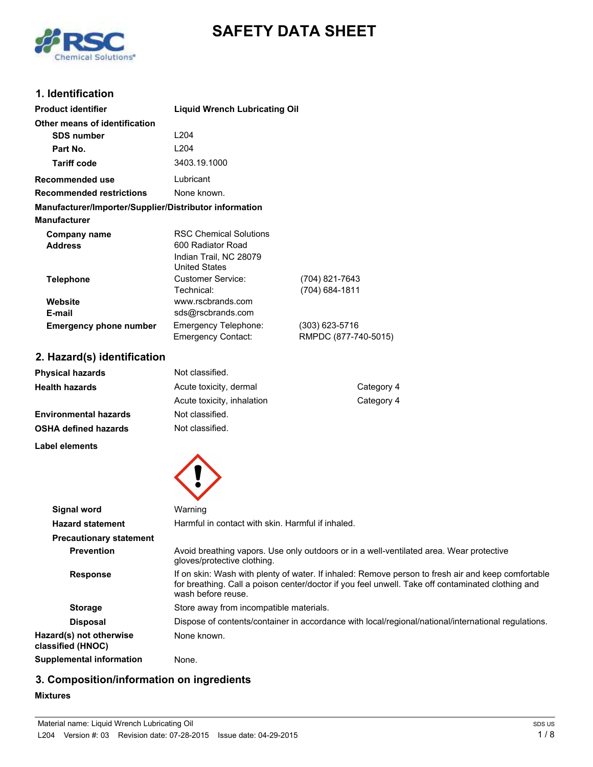

# **SAFETY DATA SHEET**

# **1. Identification**

| <b>Product identifier</b>                              | <b>Liquid Wrench Lubricating Oil</b>                                                                 |                                          |
|--------------------------------------------------------|------------------------------------------------------------------------------------------------------|------------------------------------------|
| Other means of identification                          |                                                                                                      |                                          |
| <b>SDS number</b>                                      | L <sub>204</sub>                                                                                     |                                          |
| Part No.                                               | 1204                                                                                                 |                                          |
| <b>Tariff code</b>                                     | 3403.19.1000                                                                                         |                                          |
| <b>Recommended use</b>                                 | Lubricant                                                                                            |                                          |
| <b>Recommended restrictions</b>                        | None known.                                                                                          |                                          |
| Manufacturer/Importer/Supplier/Distributor information |                                                                                                      |                                          |
| <b>Manufacturer</b>                                    |                                                                                                      |                                          |
| Company name<br><b>Address</b>                         | <b>RSC Chemical Solutions</b><br>600 Radiator Road<br>Indian Trail, NC 28079<br><b>United States</b> |                                          |
| <b>Telephone</b>                                       | <b>Customer Service:</b><br>Technical:                                                               | (704) 821-7643<br>(704) 684-1811         |
| Website                                                | www.rscbrands.com                                                                                    |                                          |
| E-mail                                                 | sds@rscbrands.com                                                                                    |                                          |
| <b>Emergency phone number</b>                          | <b>Emergency Telephone:</b><br><b>Emergency Contact:</b>                                             | $(303)$ 623-5716<br>RMPDC (877-740-5015) |
| 2. Hazard(s) identification                            |                                                                                                      |                                          |
| <b>Physical hazards</b>                                | Not classified.                                                                                      |                                          |
| <b>Health hazards</b>                                  | Acute toxicity, dermal                                                                               | Category 4                               |
|                                                        | Acute toxicity, inhalation                                                                           | Category 4                               |
| <b>Environmental hazards</b>                           | Not classified.                                                                                      |                                          |
| <b>OSHA defined hazards</b>                            | Not classified.                                                                                      |                                          |
| Label elements                                         |                                                                                                      |                                          |



| Signal word                                  | Warning                                                                                                                                                                                                                       |
|----------------------------------------------|-------------------------------------------------------------------------------------------------------------------------------------------------------------------------------------------------------------------------------|
| <b>Hazard statement</b>                      | Harmful in contact with skin. Harmful if inhaled.                                                                                                                                                                             |
| <b>Precautionary statement</b>               |                                                                                                                                                                                                                               |
| <b>Prevention</b>                            | Avoid breathing vapors. Use only outdoors or in a well-ventilated area. Wear protective<br>gloves/protective clothing.                                                                                                        |
| <b>Response</b>                              | If on skin: Wash with plenty of water. If inhaled: Remove person to fresh air and keep comfortable<br>for breathing. Call a poison center/doctor if you feel unwell. Take off contaminated clothing and<br>wash before reuse. |
| <b>Storage</b>                               | Store away from incompatible materials.                                                                                                                                                                                       |
| <b>Disposal</b>                              | Dispose of contents/container in accordance with local/regional/national/international regulations.                                                                                                                           |
| Hazard(s) not otherwise<br>classified (HNOC) | None known.                                                                                                                                                                                                                   |
| Supplemental information                     | None.                                                                                                                                                                                                                         |

# **3. Composition/information on ingredients**

#### **Mixtures**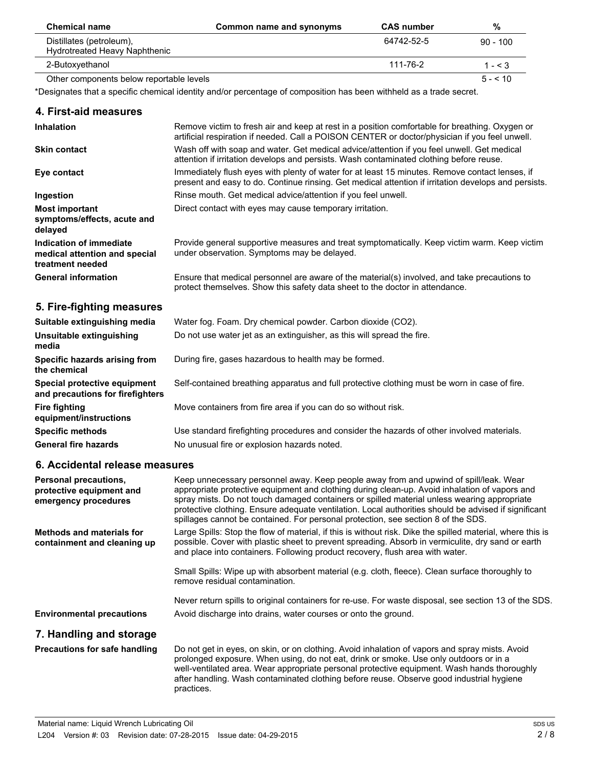| <b>Chemical name</b>                                      | Common name and synonyms | <b>CAS</b> number | %            |
|-----------------------------------------------------------|--------------------------|-------------------|--------------|
| Distillates (petroleum),<br>Hydrotreated Heavy Naphthenic |                          | 64742-52-5        | $90 - 100$   |
| 2-Butoxyethanol                                           |                          | 111-76-2          | 1 - $\leq$ 3 |
| Other components below reportable levels                  |                          |                   | $5 - 5 = 10$ |

\*Designates that a specific chemical identity and/or percentage of composition has been withheld as a trade secret.

| 4. First-aid measures                                                               |                                                                                                                                                                                                                                                                                                                                                                                                                                                                                    |
|-------------------------------------------------------------------------------------|------------------------------------------------------------------------------------------------------------------------------------------------------------------------------------------------------------------------------------------------------------------------------------------------------------------------------------------------------------------------------------------------------------------------------------------------------------------------------------|
| <b>Inhalation</b>                                                                   | Remove victim to fresh air and keep at rest in a position comfortable for breathing. Oxygen or<br>artificial respiration if needed. Call a POISON CENTER or doctor/physician if you feel unwell.                                                                                                                                                                                                                                                                                   |
| <b>Skin contact</b>                                                                 | Wash off with soap and water. Get medical advice/attention if you feel unwell. Get medical<br>attention if irritation develops and persists. Wash contaminated clothing before reuse.                                                                                                                                                                                                                                                                                              |
| Eye contact                                                                         | Immediately flush eyes with plenty of water for at least 15 minutes. Remove contact lenses, if<br>present and easy to do. Continue rinsing. Get medical attention if irritation develops and persists.                                                                                                                                                                                                                                                                             |
| Ingestion                                                                           | Rinse mouth. Get medical advice/attention if you feel unwell.                                                                                                                                                                                                                                                                                                                                                                                                                      |
| <b>Most important</b><br>symptoms/effects, acute and<br>delayed                     | Direct contact with eyes may cause temporary irritation.                                                                                                                                                                                                                                                                                                                                                                                                                           |
| <b>Indication of immediate</b><br>medical attention and special<br>treatment needed | Provide general supportive measures and treat symptomatically. Keep victim warm. Keep victim<br>under observation. Symptoms may be delayed.                                                                                                                                                                                                                                                                                                                                        |
| <b>General information</b>                                                          | Ensure that medical personnel are aware of the material(s) involved, and take precautions to<br>protect themselves. Show this safety data sheet to the doctor in attendance.                                                                                                                                                                                                                                                                                                       |
| 5. Fire-fighting measures                                                           |                                                                                                                                                                                                                                                                                                                                                                                                                                                                                    |
| Suitable extinguishing media                                                        | Water fog. Foam. Dry chemical powder. Carbon dioxide (CO2).                                                                                                                                                                                                                                                                                                                                                                                                                        |
| Unsuitable extinguishing<br>media                                                   | Do not use water jet as an extinguisher, as this will spread the fire.                                                                                                                                                                                                                                                                                                                                                                                                             |
| Specific hazards arising from<br>the chemical                                       | During fire, gases hazardous to health may be formed.                                                                                                                                                                                                                                                                                                                                                                                                                              |
| Special protective equipment<br>and precautions for firefighters                    | Self-contained breathing apparatus and full protective clothing must be worn in case of fire.                                                                                                                                                                                                                                                                                                                                                                                      |
| <b>Fire fighting</b><br>equipment/instructions                                      | Move containers from fire area if you can do so without risk.                                                                                                                                                                                                                                                                                                                                                                                                                      |
| <b>Specific methods</b>                                                             | Use standard firefighting procedures and consider the hazards of other involved materials.                                                                                                                                                                                                                                                                                                                                                                                         |
| <b>General fire hazards</b>                                                         | No unusual fire or explosion hazards noted.                                                                                                                                                                                                                                                                                                                                                                                                                                        |
| 6. Accidental release measures                                                      |                                                                                                                                                                                                                                                                                                                                                                                                                                                                                    |
| Personal precautions,<br>protective equipment and<br>emergency procedures           | Keep unnecessary personnel away. Keep people away from and upwind of spill/leak. Wear<br>appropriate protective equipment and clothing during clean-up. Avoid inhalation of vapors and<br>spray mists. Do not touch damaged containers or spilled material unless wearing appropriate<br>protective clothing. Ensure adequate ventilation. Local authorities should be advised if significant<br>spillages cannot be contained. For personal protection, see section 8 of the SDS. |
| <b>Methods and materials for</b><br>containment and cleaning up                     | Large Spills: Stop the flow of material, if this is without risk. Dike the spilled material, where this is<br>possible. Cover with plastic sheet to prevent spreading. Absorb in vermiculite, dry sand or earth<br>and place into containers. Following product recovery, flush area with water.                                                                                                                                                                                   |
|                                                                                     | Small Spills: Wipe up with absorbent material (e.g. cloth, fleece). Clean surface thoroughly to<br>remove residual contamination.                                                                                                                                                                                                                                                                                                                                                  |
|                                                                                     | Never return spills to original containers for re-use. For waste disposal, see section 13 of the SDS.                                                                                                                                                                                                                                                                                                                                                                              |
| <b>Environmental precautions</b>                                                    | Avoid discharge into drains, water courses or onto the ground.                                                                                                                                                                                                                                                                                                                                                                                                                     |
| 7. Handling and storage                                                             |                                                                                                                                                                                                                                                                                                                                                                                                                                                                                    |

Do not get in eyes, on skin, or on clothing. Avoid inhalation of vapors and spray mists. Avoid prolonged exposure. When using, do not eat, drink or smoke. Use only outdoors or in a well-ventilated area. Wear appropriate personal protective equipment. Wash hands thoroughly after handling. Wash contaminated clothing before reuse. Observe good industrial hygiene practices. **Precautions for safe handling**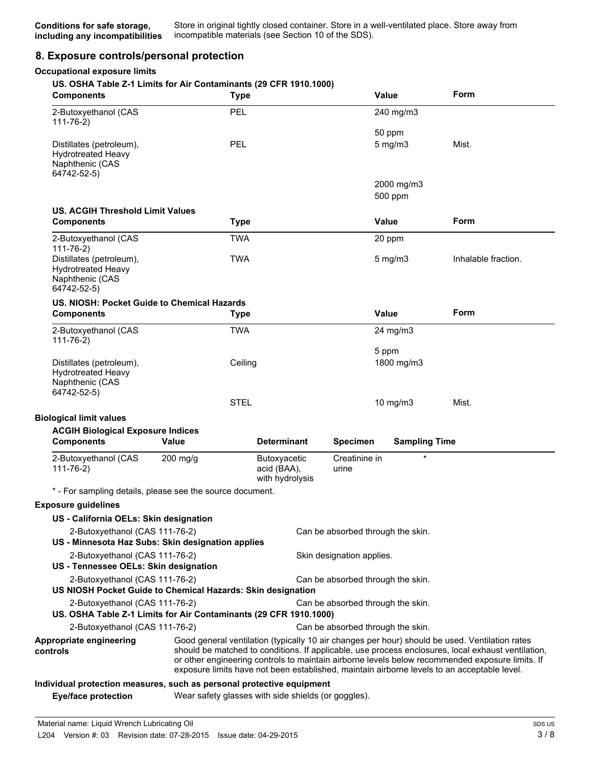# **8. Exposure controls/personal protection**

#### **Occupational exposure limits**

#### **US. OSHA Table Z-1 Limits for Air Contaminants (29 CFR 1910.1000)**

| <b>Components</b>                                                                                                        | <b>Type</b>                                                                                 |                                                |                                   | <b>Value</b>           | Form                                                                                                                                                                                                                                                                                                    |
|--------------------------------------------------------------------------------------------------------------------------|---------------------------------------------------------------------------------------------|------------------------------------------------|-----------------------------------|------------------------|---------------------------------------------------------------------------------------------------------------------------------------------------------------------------------------------------------------------------------------------------------------------------------------------------------|
| 2-Butoxyethanol (CAS<br>$111 - 76 - 2)$                                                                                  | PEL                                                                                         |                                                |                                   | 240 mg/m3              |                                                                                                                                                                                                                                                                                                         |
| Distillates (petroleum),<br><b>Hydrotreated Heavy</b><br>Naphthenic (CAS<br>64742-52-5)                                  | <b>PEL</b>                                                                                  |                                                |                                   | 50 ppm<br>$5$ mg/m $3$ | Mist.                                                                                                                                                                                                                                                                                                   |
|                                                                                                                          |                                                                                             |                                                |                                   | 2000 mg/m3<br>500 ppm  |                                                                                                                                                                                                                                                                                                         |
| <b>US. ACGIH Threshold Limit Values</b>                                                                                  |                                                                                             |                                                |                                   |                        |                                                                                                                                                                                                                                                                                                         |
| <b>Components</b>                                                                                                        | <b>Type</b>                                                                                 |                                                |                                   | <b>Value</b>           | Form                                                                                                                                                                                                                                                                                                    |
| 2-Butoxyethanol (CAS<br>$111 - 76 - 2$                                                                                   | <b>TWA</b>                                                                                  |                                                |                                   | 20 ppm                 |                                                                                                                                                                                                                                                                                                         |
| Distillates (petroleum),<br>Hydrotreated Heavy<br>Naphthenic (CAS<br>64742-52-5)                                         | <b>TWA</b>                                                                                  |                                                |                                   | 5 mg/m3                | Inhalable fraction.                                                                                                                                                                                                                                                                                     |
| US. NIOSH: Pocket Guide to Chemical Hazards                                                                              |                                                                                             |                                                |                                   |                        |                                                                                                                                                                                                                                                                                                         |
| <b>Components</b>                                                                                                        | <b>Type</b>                                                                                 |                                                |                                   | <b>Value</b>           | Form                                                                                                                                                                                                                                                                                                    |
| 2-Butoxyethanol (CAS<br>$111 - 76 - 2)$                                                                                  | <b>TWA</b>                                                                                  |                                                |                                   | 24 mg/m3               |                                                                                                                                                                                                                                                                                                         |
| Distillates (petroleum),<br><b>Hydrotreated Heavy</b><br>Naphthenic (CAS                                                 | Ceiling                                                                                     |                                                |                                   | 5 ppm<br>1800 mg/m3    |                                                                                                                                                                                                                                                                                                         |
| 64742-52-5)                                                                                                              | <b>STEL</b>                                                                                 |                                                |                                   | 10 mg/m $3$            | Mist.                                                                                                                                                                                                                                                                                                   |
|                                                                                                                          |                                                                                             |                                                |                                   |                        |                                                                                                                                                                                                                                                                                                         |
| <b>Biological limit values</b><br><b>ACGIH Biological Exposure Indices</b>                                               |                                                                                             |                                                |                                   |                        |                                                                                                                                                                                                                                                                                                         |
| <b>Components</b>                                                                                                        | <b>Value</b>                                                                                | <b>Determinant</b>                             | <b>Specimen</b>                   | <b>Sampling Time</b>   |                                                                                                                                                                                                                                                                                                         |
| 2-Butoxyethanol (CAS<br>$111 - 76 - 2)$                                                                                  | 200 mg/g                                                                                    | Butoxyacetic<br>acid (BAA),<br>with hydrolysis | Creatinine in<br>urine            |                        |                                                                                                                                                                                                                                                                                                         |
| * - For sampling details, please see the source document.                                                                |                                                                                             |                                                |                                   |                        |                                                                                                                                                                                                                                                                                                         |
| <b>Exposure guidelines</b>                                                                                               |                                                                                             |                                                |                                   |                        |                                                                                                                                                                                                                                                                                                         |
| US - California OELs: Skin designation                                                                                   |                                                                                             |                                                |                                   |                        |                                                                                                                                                                                                                                                                                                         |
| 2-Butoxyethanol (CAS 111-76-2)<br>Can be absorbed through the skin.<br>US - Minnesota Haz Subs: Skin designation applies |                                                                                             |                                                |                                   |                        |                                                                                                                                                                                                                                                                                                         |
| 2-Butoxyethanol (CAS 111-76-2)<br>US - Tennessee OELs: Skin designation                                                  |                                                                                             |                                                | Skin designation applies.         |                        |                                                                                                                                                                                                                                                                                                         |
| 2-Butoxyethanol (CAS 111-76-2)<br>US NIOSH Pocket Guide to Chemical Hazards: Skin designation                            |                                                                                             |                                                | Can be absorbed through the skin. |                        |                                                                                                                                                                                                                                                                                                         |
| 2-Butoxyethanol (CAS 111-76-2)<br>US. OSHA Table Z-1 Limits for Air Contaminants (29 CFR 1910.1000)                      |                                                                                             |                                                | Can be absorbed through the skin. |                        |                                                                                                                                                                                                                                                                                                         |
| 2-Butoxyethanol (CAS 111-76-2)                                                                                           |                                                                                             |                                                | Can be absorbed through the skin. |                        |                                                                                                                                                                                                                                                                                                         |
| Appropriate engineering<br>controls                                                                                      | exposure limits have not been established, maintain airborne levels to an acceptable level. |                                                |                                   |                        | Good general ventilation (typically 10 air changes per hour) should be used. Ventilation rates<br>should be matched to conditions. If applicable, use process enclosures, local exhaust ventilation,<br>or other engineering controls to maintain airborne levels below recommended exposure limits. If |
| Individual protection measures, such as personal protective equipment                                                    |                                                                                             |                                                |                                   |                        |                                                                                                                                                                                                                                                                                                         |
| <b>Eye/face protection</b>                                                                                               | Wear safety glasses with side shields (or goggles).                                         |                                                |                                   |                        |                                                                                                                                                                                                                                                                                                         |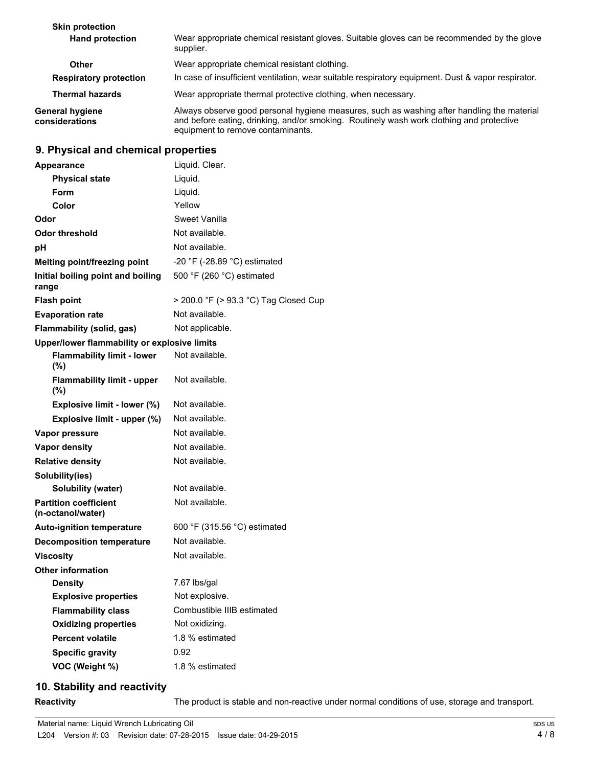| <b>Skin protection</b>                   |                                                                                                                                                                                                                             |  |
|------------------------------------------|-----------------------------------------------------------------------------------------------------------------------------------------------------------------------------------------------------------------------------|--|
| <b>Hand protection</b>                   | Wear appropriate chemical resistant gloves. Suitable gloves can be recommended by the glove<br>supplier.                                                                                                                    |  |
| <b>Other</b>                             | Wear appropriate chemical resistant clothing.                                                                                                                                                                               |  |
| <b>Respiratory protection</b>            | In case of insufficient ventilation, wear suitable respiratory equipment. Dust & vapor respirator.                                                                                                                          |  |
| <b>Thermal hazards</b>                   | Wear appropriate thermal protective clothing, when necessary.                                                                                                                                                               |  |
| <b>General hygiene</b><br>considerations | Always observe good personal hygiene measures, such as washing after handling the material<br>and before eating, drinking, and/or smoking. Routinely wash work clothing and protective<br>equipment to remove contaminants. |  |

# **9. Physical and chemical properties**

| <b>Appearance</b>                                 | Liquid. Clear.                        |
|---------------------------------------------------|---------------------------------------|
| <b>Physical state</b>                             | Liquid.                               |
| Form                                              | Liquid.                               |
| Color                                             | Yellow                                |
| Odor                                              | Sweet Vanilla                         |
| Odor threshold                                    | Not available.                        |
| рH                                                | Not available.                        |
| Melting point/freezing point                      | -20 °F (-28.89 °C) estimated          |
| Initial boiling point and boiling<br>range        | 500 °F (260 °C) estimated             |
| <b>Flash point</b>                                | > 200.0 °F (> 93.3 °C) Tag Closed Cup |
| <b>Evaporation rate</b>                           | Not available.                        |
| Flammability (solid, gas)                         | Not applicable.                       |
| Upper/lower flammability or explosive limits      |                                       |
| <b>Flammability limit - lower</b><br>(%)          | Not available.                        |
| <b>Flammability limit - upper</b><br>$(\% )$      | Not available.                        |
| Explosive limit - lower (%)                       | Not available.                        |
| Explosive limit - upper (%)                       | Not available.                        |
| Vapor pressure                                    | Not available.                        |
| <b>Vapor density</b>                              | Not available.                        |
| <b>Relative density</b>                           | Not available.                        |
| Solubility(ies)                                   |                                       |
| <b>Solubility (water)</b>                         | Not available.                        |
| <b>Partition coefficient</b><br>(n-octanol/water) | Not available.                        |
| <b>Auto-ignition temperature</b>                  | 600 °F (315.56 °C) estimated          |
| <b>Decomposition temperature</b>                  | Not available.                        |
| <b>Viscositv</b>                                  | Not available.                        |
| <b>Other information</b>                          |                                       |
| <b>Density</b>                                    | 7.67 lbs/gal                          |
| <b>Explosive properties</b>                       | Not explosive.                        |
| <b>Flammability class</b>                         | Combustible IIIB estimated            |
| <b>Oxidizing properties</b>                       | Not oxidizing.                        |
| <b>Percent volatile</b>                           | 1.8 % estimated                       |
| <b>Specific gravity</b>                           | 0.92                                  |
| VOC (Weight %)                                    | 1.8 % estimated                       |

# **10. Stability and reactivity**

**Reactivity** The product is stable and non-reactive under normal conditions of use, storage and transport.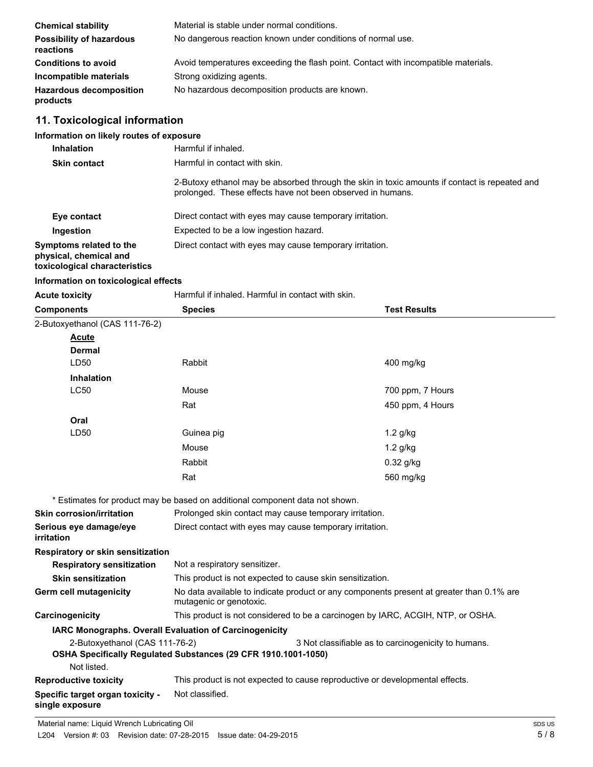| <b>Chemical stability</b>                    | Material is stable under normal conditions.                                        |
|----------------------------------------------|------------------------------------------------------------------------------------|
| <b>Possibility of hazardous</b><br>reactions | No dangerous reaction known under conditions of normal use.                        |
| <b>Conditions to avoid</b>                   | Avoid temperatures exceeding the flash point. Contact with incompatible materials. |
| Incompatible materials                       | Strong oxidizing agents.                                                           |
| <b>Hazardous decomposition</b><br>products   | No hazardous decomposition products are known.                                     |

#### **11. Toxicological information**

| Information on likely routes of exposure |                                                     |
|------------------------------------------|-----------------------------------------------------|
| <b>Inhalation</b>                        | Harmful if inhaled.                                 |
| <b>Skin contact</b>                      | Harmful in contact with skin.                       |
|                                          | 0 Dutain is at bonal money has a boombook the cause |

2-Butoxy ethanol may be absorbed through the skin in toxic amounts if contact is repeated and prolonged. These effects have not been observed in humans.

| Eye contact                                                                        | Direct contact with eyes may cause temporary irritation. |
|------------------------------------------------------------------------------------|----------------------------------------------------------|
| Ingestion                                                                          | Expected to be a low ingestion hazard.                   |
| Symptoms related to the<br>physical, chemical and<br>toxicological characteristics | Direct contact with eyes may cause temporary irritation. |

#### **Information on toxicological effects**

**single exposure**

**Acute toxicity Harmful if inhaled. Harmful in contact with skin.** 

| <b>Components</b>                                                            | <b>Species</b>                                                                                                      | <b>Test Results</b>                                                             |  |
|------------------------------------------------------------------------------|---------------------------------------------------------------------------------------------------------------------|---------------------------------------------------------------------------------|--|
| 2-Butoxyethanol (CAS 111-76-2)                                               |                                                                                                                     |                                                                                 |  |
| Acute                                                                        |                                                                                                                     |                                                                                 |  |
| <b>Dermal</b>                                                                |                                                                                                                     |                                                                                 |  |
| LD50                                                                         | Rabbit                                                                                                              | 400 mg/kg                                                                       |  |
| <b>Inhalation</b>                                                            |                                                                                                                     |                                                                                 |  |
| <b>LC50</b>                                                                  | Mouse                                                                                                               | 700 ppm, 7 Hours                                                                |  |
|                                                                              | Rat                                                                                                                 | 450 ppm, 4 Hours                                                                |  |
| Oral                                                                         |                                                                                                                     |                                                                                 |  |
| LD50                                                                         | Guinea pig                                                                                                          | $1.2$ g/kg                                                                      |  |
|                                                                              | Mouse                                                                                                               | $1.2$ g/kg                                                                      |  |
|                                                                              | Rabbit                                                                                                              | $0.32$ g/kg                                                                     |  |
|                                                                              | Rat                                                                                                                 | 560 mg/kg                                                                       |  |
| * Estimates for product may be based on additional component data not shown. |                                                                                                                     |                                                                                 |  |
| <b>Skin corrosion/irritation</b>                                             |                                                                                                                     | Prolonged skin contact may cause temporary irritation.                          |  |
| Serious eye damage/eye<br>irritation                                         | Direct contact with eyes may cause temporary irritation.                                                            |                                                                                 |  |
| Respiratory or skin sensitization                                            |                                                                                                                     |                                                                                 |  |
| <b>Respiratory sensitization</b>                                             | Not a respiratory sensitizer.                                                                                       |                                                                                 |  |
| <b>Skin sensitization</b>                                                    | This product is not expected to cause skin sensitization.                                                           |                                                                                 |  |
| <b>Germ cell mutagenicity</b>                                                | No data available to indicate product or any components present at greater than 0.1% are<br>mutagenic or genotoxic. |                                                                                 |  |
| Carcinogenicity                                                              |                                                                                                                     | This product is not considered to be a carcinogen by IARC, ACGIH, NTP, or OSHA. |  |
| IARC Monographs. Overall Evaluation of Carcinogenicity                       |                                                                                                                     |                                                                                 |  |
| 2-Butoxyethanol (CAS 111-76-2)                                               |                                                                                                                     | 3 Not classifiable as to carcinogenicity to humans.                             |  |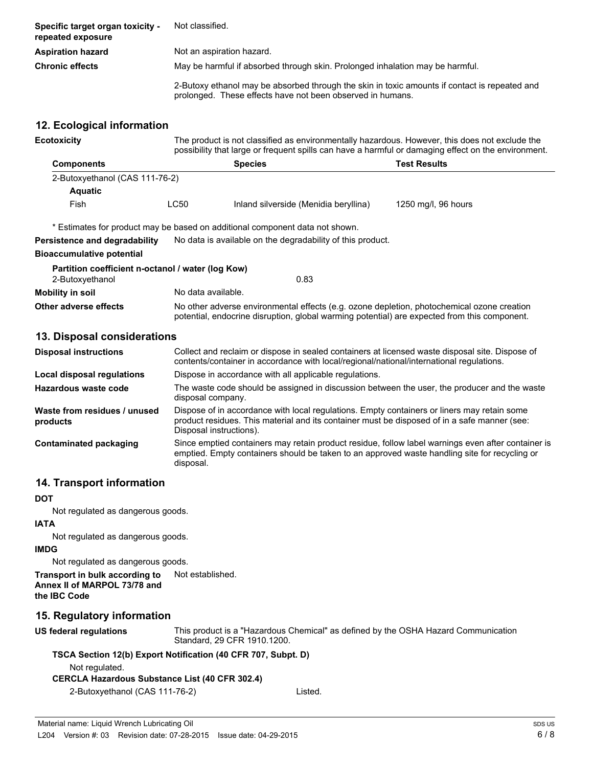| Specific target organ toxicity -<br>repeated exposure | Not classified.                                                                                                                                             |  |  |
|-------------------------------------------------------|-------------------------------------------------------------------------------------------------------------------------------------------------------------|--|--|
| <b>Aspiration hazard</b>                              | Not an aspiration hazard.                                                                                                                                   |  |  |
| <b>Chronic effects</b>                                | May be harmful if absorbed through skin. Prolonged inhalation may be harmful.                                                                               |  |  |
|                                                       | 2-Butoxy ethanol may be absorbed through the skin in toxic amounts if contact is repeated and<br>prolonged. These effects have not been observed in humans. |  |  |

#### **12. Ecological information**

| Ecotoxicity                    |                                       | The product is not classified as environmentally hazardous. However, this does not exclude the<br>possibility that large or frequent spills can have a harmful or damaging effect on the environment. |                     |  |
|--------------------------------|---------------------------------------|-------------------------------------------------------------------------------------------------------------------------------------------------------------------------------------------------------|---------------------|--|
| <b>Components</b>              | <b>Test Results</b><br><b>Species</b> |                                                                                                                                                                                                       |                     |  |
| 2-Butoxyethanol (CAS 111-76-2) |                                       |                                                                                                                                                                                                       |                     |  |
| <b>Aquatic</b>                 |                                       |                                                                                                                                                                                                       |                     |  |
| Fish                           | LC50                                  | Inland silverside (Menidia beryllina)                                                                                                                                                                 | 1250 mg/l, 96 hours |  |
|                                |                                       |                                                                                                                                                                                                       |                     |  |

\* Estimates for product may be based on additional component data not shown.

**Persistence and degradability** No data is available on the degradability of this product.

#### **Bioaccumulative potential**

| Partition coefficient n-octanol / water (log Kow) |                                                                                                                                                                                            |
|---------------------------------------------------|--------------------------------------------------------------------------------------------------------------------------------------------------------------------------------------------|
| 2-Butoxyethanol                                   | 0.83                                                                                                                                                                                       |
| <b>Mobility in soil</b>                           | No data available.                                                                                                                                                                         |
| Other adverse effects                             | No other adverse environmental effects (e.g. ozone depletion, photochemical ozone creation<br>potential, endocrine disruption, global warming potential) are expected from this component. |

#### **13. Disposal considerations**

| <b>Disposal instructions</b>             | Collect and reclaim or dispose in sealed containers at licensed waste disposal site. Dispose of<br>contents/container in accordance with local/regional/national/international regulations.                            |
|------------------------------------------|------------------------------------------------------------------------------------------------------------------------------------------------------------------------------------------------------------------------|
| Local disposal regulations               | Dispose in accordance with all applicable regulations.                                                                                                                                                                 |
| Hazardous waste code                     | The waste code should be assigned in discussion between the user, the producer and the waste<br>disposal company.                                                                                                      |
| Waste from residues / unused<br>products | Dispose of in accordance with local regulations. Empty containers or liners may retain some<br>product residues. This material and its container must be disposed of in a safe manner (see:<br>Disposal instructions). |
| Contaminated packaging                   | Since emptied containers may retain product residue, follow label warnings even after container is<br>emptied. Empty containers should be taken to an approved waste handling site for recycling or<br>disposal.       |

# **14. Transport information**

#### **DOT**

Not regulated as dangerous goods.

#### **IATA**

Not regulated as dangerous goods.

#### **IMDG**

Not regulated as dangerous goods.

**Transport in bulk according to** Not established. **Annex II of MARPOL 73/78 and the IBC Code**

# **15. Regulatory information**

**US federal regulations**

This product is a "Hazardous Chemical" as defined by the OSHA Hazard Communication Standard, 29 CFR 1910.1200.

# **TSCA Section 12(b) Export Notification (40 CFR 707, Subpt. D)**

Not regulated.

# **CERCLA Hazardous Substance List (40 CFR 302.4)**

| 2-Butoxyethanol (CAS 111-76-2) | Listed. |
|--------------------------------|---------|
|--------------------------------|---------|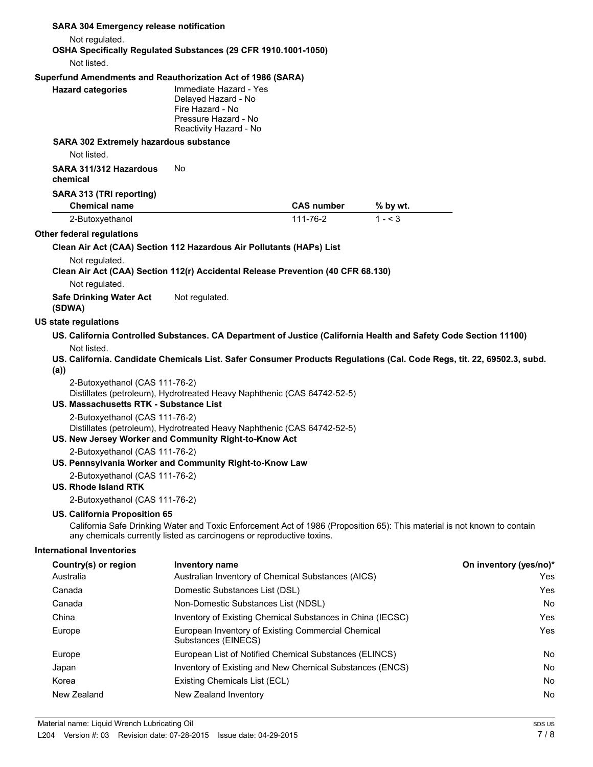| <b>SARA 304 Emergency release notification</b>                                                  |                                                                                                                                                                                                   |                   |          |                        |
|-------------------------------------------------------------------------------------------------|---------------------------------------------------------------------------------------------------------------------------------------------------------------------------------------------------|-------------------|----------|------------------------|
| Not regulated.                                                                                  |                                                                                                                                                                                                   |                   |          |                        |
|                                                                                                 | OSHA Specifically Regulated Substances (29 CFR 1910.1001-1050)                                                                                                                                    |                   |          |                        |
| Not listed.                                                                                     |                                                                                                                                                                                                   |                   |          |                        |
| Superfund Amendments and Reauthorization Act of 1986 (SARA)                                     |                                                                                                                                                                                                   |                   |          |                        |
| <b>Hazard categories</b>                                                                        | Immediate Hazard - Yes<br>Delayed Hazard - No<br>Fire Hazard - No<br>Pressure Hazard - No<br>Reactivity Hazard - No                                                                               |                   |          |                        |
| <b>SARA 302 Extremely hazardous substance</b><br>Not listed.                                    |                                                                                                                                                                                                   |                   |          |                        |
| SARA 311/312 Hazardous<br>chemical                                                              | No                                                                                                                                                                                                |                   |          |                        |
| SARA 313 (TRI reporting)<br><b>Chemical name</b>                                                |                                                                                                                                                                                                   | <b>CAS number</b> | % by wt. |                        |
| 2-Butoxyethanol                                                                                 |                                                                                                                                                                                                   | 111-76-2          | $1 - 3$  |                        |
| <b>Other federal regulations</b>                                                                |                                                                                                                                                                                                   |                   |          |                        |
|                                                                                                 | Clean Air Act (CAA) Section 112 Hazardous Air Pollutants (HAPs) List                                                                                                                              |                   |          |                        |
| Not regulated.                                                                                  | Clean Air Act (CAA) Section 112(r) Accidental Release Prevention (40 CFR 68.130)                                                                                                                  |                   |          |                        |
| Not regulated.                                                                                  |                                                                                                                                                                                                   |                   |          |                        |
| <b>Safe Drinking Water Act</b><br>(SDWA)                                                        | Not regulated.                                                                                                                                                                                    |                   |          |                        |
| <b>US state regulations</b>                                                                     |                                                                                                                                                                                                   |                   |          |                        |
| Not listed.<br>(a))<br>2-Butoxyethanol (CAS 111-76-2)<br>US. Massachusetts RTK - Substance List | US. California. Candidate Chemicals List. Safer Consumer Products Regulations (Cal. Code Regs, tit. 22, 69502.3, subd.<br>Distillates (petroleum), Hydrotreated Heavy Naphthenic (CAS 64742-52-5) |                   |          |                        |
| 2-Butoxyethanol (CAS 111-76-2)                                                                  | Distillates (petroleum), Hydrotreated Heavy Naphthenic (CAS 64742-52-5)<br>US. New Jersey Worker and Community Right-to-Know Act                                                                  |                   |          |                        |
| 2-Butoxyethanol (CAS 111-76-2)                                                                  | US. Pennsylvania Worker and Community Right-to-Know Law                                                                                                                                           |                   |          |                        |
| 2-Butoxyethanol (CAS 111-76-2)<br><b>US. Rhode Island RTK</b>                                   |                                                                                                                                                                                                   |                   |          |                        |
| 2-Butoxyethanol (CAS 111-76-2)                                                                  |                                                                                                                                                                                                   |                   |          |                        |
| <b>US. California Proposition 65</b>                                                            | California Safe Drinking Water and Toxic Enforcement Act of 1986 (Proposition 65): This material is not known to contain<br>any chemicals currently listed as carcinogens or reproductive toxins. |                   |          |                        |
| <b>International Inventories</b>                                                                |                                                                                                                                                                                                   |                   |          |                        |
| Country(s) or region                                                                            | Inventory name                                                                                                                                                                                    |                   |          | On inventory (yes/no)* |
| Australia                                                                                       | Australian Inventory of Chemical Substances (AICS)                                                                                                                                                |                   |          | Yes                    |
| Canada                                                                                          | Domestic Substances List (DSL)                                                                                                                                                                    |                   |          | Yes                    |
| Canada                                                                                          | Non-Domestic Substances List (NDSL)                                                                                                                                                               |                   |          | No                     |
| China                                                                                           | Inventory of Existing Chemical Substances in China (IECSC)                                                                                                                                        |                   |          | Yes                    |
| Europe                                                                                          | European Inventory of Existing Commercial Chemical<br>Substances (EINECS)                                                                                                                         |                   |          | Yes                    |
| Europe                                                                                          | European List of Notified Chemical Substances (ELINCS)                                                                                                                                            |                   |          | No                     |
| Japan                                                                                           | Inventory of Existing and New Chemical Substances (ENCS)                                                                                                                                          |                   |          | No                     |
| Korea                                                                                           | Existing Chemicals List (ECL)                                                                                                                                                                     |                   |          | No                     |
| New Zealand                                                                                     | New Zealand Inventory                                                                                                                                                                             |                   |          | No                     |